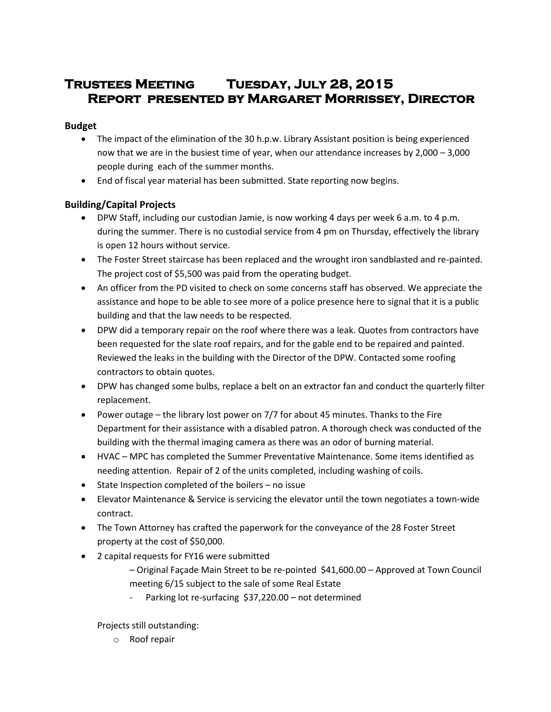# **Trustees Meeting Tuesday, July 28, 2015 Report presented by Margaret Morrissey, Director**

## **Budget**

- The impact of the elimination of the 30 h.p.w. Library Assistant position is being experienced now that we are in the busiest time of year, when our attendance increases by 2,000 – 3,000 people during each of the summer months.
- End of fiscal year material has been submitted. State reporting now begins.

# **Building/Capital Projects**

- DPW Staff, including our custodian Jamie, is now working 4 days per week 6 a.m. to 4 p.m. during the summer. There is no custodial service from 4 pm on Thursday, effectively the library is open 12 hours without service.
- The Foster Street staircase has been replaced and the wrought iron sandblasted and re-painted. The project cost of \$5,500 was paid from the operating budget.
- An officer from the PD visited to check on some concerns staff has observed. We appreciate the assistance and hope to be able to see more of a police presence here to signal that it is a public building and that the law needs to be respected.
- DPW did a temporary repair on the roof where there was a leak. Quotes from contractors have been requested for the slate roof repairs, and for the gable end to be repaired and painted. Reviewed the leaks in the building with the Director of the DPW. Contacted some roofing contractors to obtain quotes.
- DPW has changed some bulbs, replace a belt on an extractor fan and conduct the quarterly filter replacement.
- Power outage the library lost power on 7/7 for about 45 minutes. Thanks to the Fire Department for their assistance with a disabled patron. A thorough check was conducted of the building with the thermal imaging camera as there was an odor of burning material.
- HVAC MPC has completed the Summer Preventative Maintenance. Some items identified as needing attention. Repair of 2 of the units completed, including washing of coils.
- State Inspection completed of the boilers no issue
- Elevator Maintenance & Service is servicing the elevator until the town negotiates a town-wide contract.
- The Town Attorney has crafted the paperwork for the conveyance of the 28 Foster Street property at the cost of \$50,000.
- 2 capital requests for FY16 were submitted
	- Original Façade Main Street to be re-pointed \$41,600.00 Approved at Town Council meeting 6/15 subject to the sale of some Real Estate
	- Parking lot re-surfacing \$37,220.00 not determined

Projects still outstanding:

o Roof repair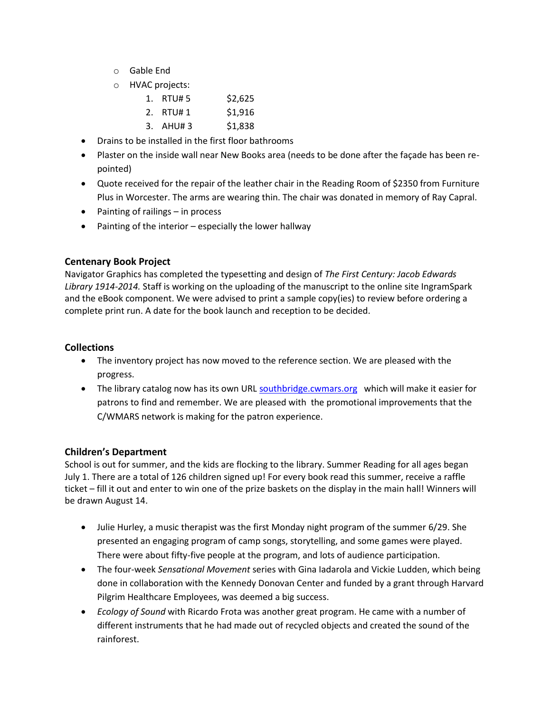- o Gable End
- o HVAC projects:

| 1. | RTU# 5   | \$2,625 |
|----|----------|---------|
|    | 2. RTU#1 | \$1,916 |

- 3. AHU# 3 \$1,838
- Drains to be installed in the first floor bathrooms
- Plaster on the inside wall near New Books area (needs to be done after the façade has been repointed)
- Quote received for the repair of the leather chair in the Reading Room of \$2350 from Furniture Plus in Worcester. The arms are wearing thin. The chair was donated in memory of Ray Capral.
- Painting of railings in process
- Painting of the interior especially the lower hallway

## **Centenary Book Project**

Navigator Graphics has completed the typesetting and design of *The First Century: Jacob Edwards Library 1914-2014.* Staff is working on the uploading of the manuscript to the online site IngramSpark and the eBook component. We were advised to print a sample copy(ies) to review before ordering a complete print run. A date for the book launch and reception to be decided.

## **Collections**

- The inventory project has now moved to the reference section. We are pleased with the progress.
- The library catalog now has its own URL [southbridge.cwmars.org](http://southbridge.cwmars.org/) which will make it easier for patrons to find and remember. We are pleased with the promotional improvements that the C/WMARS network is making for the patron experience.

## **Children's Department**

School is out for summer, and the kids are flocking to the library. Summer Reading for all ages began July 1. There are a total of 126 children signed up! For every book read this summer, receive a raffle ticket – fill it out and enter to win one of the prize baskets on the display in the main hall! Winners will be drawn August 14.

- Julie Hurley, a music therapist was the first Monday night program of the summer 6/29. She presented an engaging program of camp songs, storytelling, and some games were played. There were about fifty-five people at the program, and lots of audience participation.
- The four-week *Sensational Movement* series with Gina Iadarola and Vickie Ludden, which being done in collaboration with the Kennedy Donovan Center and funded by a grant through Harvard Pilgrim Healthcare Employees, was deemed a big success.
- *Ecology of Sound* with Ricardo Frota was another great program. He came with a number of different instruments that he had made out of recycled objects and created the sound of the rainforest.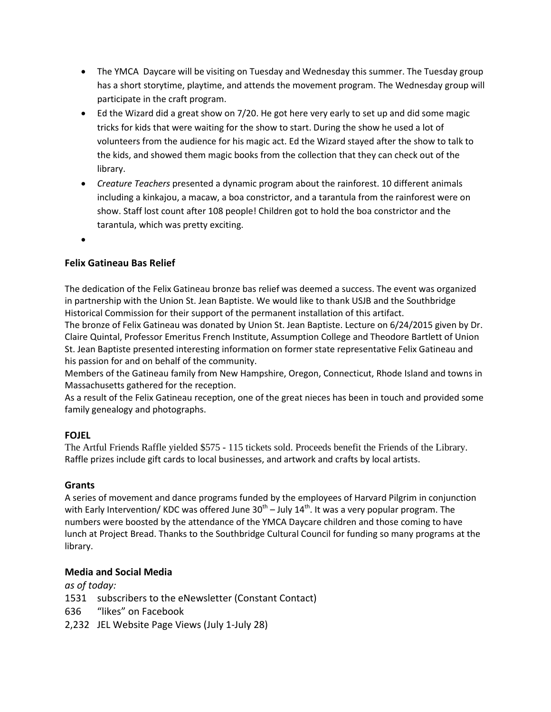- The YMCA Daycare will be visiting on Tuesday and Wednesday this summer. The Tuesday group has a short storytime, playtime, and attends the movement program. The Wednesday group will participate in the craft program.
- Ed the Wizard did a great show on 7/20. He got here very early to set up and did some magic tricks for kids that were waiting for the show to start. During the show he used a lot of volunteers from the audience for his magic act. Ed the Wizard stayed after the show to talk to the kids, and showed them magic books from the collection that they can check out of the library.
- *Creature Teachers* presented a dynamic program about the rainforest. 10 different animals including a kinkajou, a macaw, a boa constrictor, and a tarantula from the rainforest were on show. Staff lost count after 108 people! Children got to hold the boa constrictor and the tarantula, which was pretty exciting.
- $\bullet$

# **Felix Gatineau Bas Relief**

The dedication of the Felix Gatineau bronze bas relief was deemed a success. The event was organized in partnership with the Union St. Jean Baptiste. We would like to thank USJB and the Southbridge Historical Commission for their support of the permanent installation of this artifact.

The bronze of Felix Gatineau was donated by Union St. Jean Baptiste. Lecture on 6/24/2015 given by Dr. Claire Quintal, Professor Emeritus French Institute, Assumption College and Theodore Bartlett of Union St. Jean Baptiste presented interesting information on former state representative Felix Gatineau and his passion for and on behalf of the community.

Members of the Gatineau family from New Hampshire, Oregon, Connecticut, Rhode Island and towns in Massachusetts gathered for the reception.

As a result of the Felix Gatineau reception, one of the great nieces has been in touch and provided some family genealogy and photographs.

# **FOJEL**

The Artful Friends Raffle yielded \$575 - 115 tickets sold. Proceeds benefit the Friends of the Library. Raffle prizes include gift cards to local businesses, and artwork and crafts by local artists.

# **Grants**

A series of movement and dance programs funded by the employees of Harvard Pilgrim in conjunction with Early Intervention/ KDC was offered June 30<sup>th</sup> – July 14<sup>th</sup>. It was a very popular program. The numbers were boosted by the attendance of the YMCA Daycare children and those coming to have lunch at Project Bread. Thanks to the Southbridge Cultural Council for funding so many programs at the library.

# **Media and Social Media**

*as of today:*

- 1531 subscribers to the eNewsletter (Constant Contact)
- 636 "likes" on Facebook
- 2,232 JEL Website Page Views (July 1-July 28)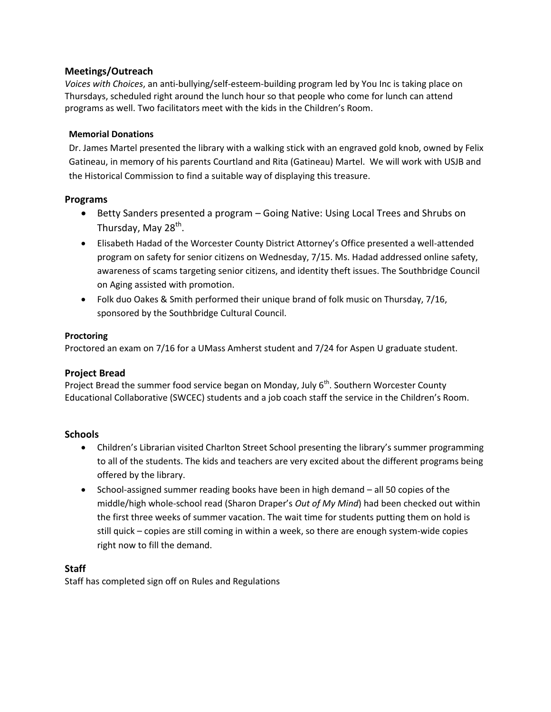## **Meetings/Outreach**

*Voices with Choices*, an anti-bullying/self-esteem-building program led by You Inc is taking place on Thursdays, scheduled right around the lunch hour so that people who come for lunch can attend programs as well. Two facilitators meet with the kids in the Children's Room.

#### **Memorial Donations**

Dr. James Martel presented the library with a walking stick with an engraved gold knob, owned by Felix Gatineau, in memory of his parents Courtland and Rita (Gatineau) Martel. We will work with USJB and the Historical Commission to find a suitable way of displaying this treasure.

## **Programs**

- Betty Sanders presented a program Going Native: Using Local Trees and Shrubs on Thursday, May 28<sup>th</sup>.
- Elisabeth Hadad of the Worcester County District Attorney's Office presented a well-attended program on safety for senior citizens on Wednesday, 7/15. Ms. Hadad addressed online safety, awareness of scams targeting senior citizens, and identity theft issues. The Southbridge Council on Aging assisted with promotion.
- Folk duo Oakes & Smith performed their unique brand of folk music on Thursday, 7/16, sponsored by the Southbridge Cultural Council.

#### **Proctoring**

Proctored an exam on 7/16 for a UMass Amherst student and 7/24 for Aspen U graduate student.

## **Project Bread**

Project Bread the summer food service began on Monday, July  $6<sup>th</sup>$ . Southern Worcester County Educational Collaborative (SWCEC) students and a job coach staff the service in the Children's Room.

## **Schools**

- Children's Librarian visited Charlton Street School presenting the library's summer programming to all of the students. The kids and teachers are very excited about the different programs being offered by the library.
- School-assigned summer reading books have been in high demand all 50 copies of the middle/high whole-school read (Sharon Draper's *Out of My Mind*) had been checked out within the first three weeks of summer vacation. The wait time for students putting them on hold is still quick – copies are still coming in within a week, so there are enough system-wide copies right now to fill the demand.

## **Staff**

Staff has completed sign off on Rules and Regulations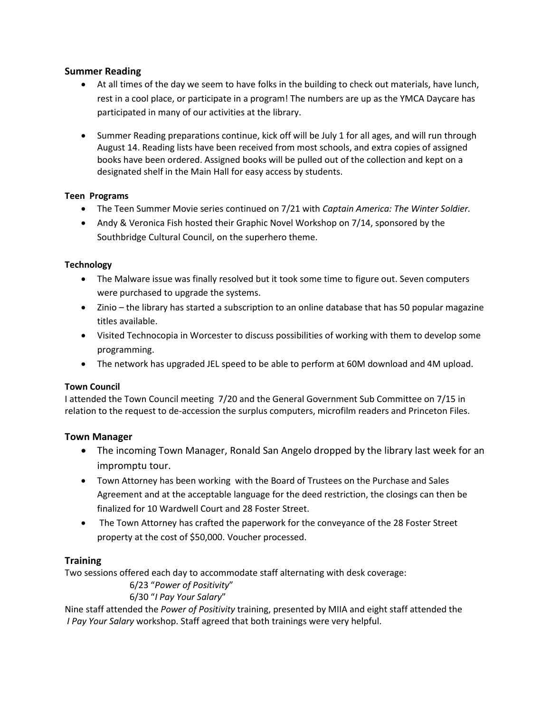## **Summer Reading**

- At all times of the day we seem to have folks in the building to check out materials, have lunch, rest in a cool place, or participate in a program! The numbers are up as the YMCA Daycare has participated in many of our activities at the library.
- Summer Reading preparations continue, kick off will be July 1 for all ages, and will run through August 14. Reading lists have been received from most schools, and extra copies of assigned books have been ordered. Assigned books will be pulled out of the collection and kept on a designated shelf in the Main Hall for easy access by students.

#### **Teen Programs**

- The Teen Summer Movie series continued on 7/21 with *Captain America: The Winter Soldier.*
- Andy & Veronica Fish hosted their Graphic Novel Workshop on 7/14, sponsored by the Southbridge Cultural Council, on the superhero theme.

#### **Technology**

- The Malware issue was finally resolved but it took some time to figure out. Seven computers were purchased to upgrade the systems.
- Zinio the library has started a subscription to an online database that has 50 popular magazine titles available.
- Visited Technocopia in Worcester to discuss possibilities of working with them to develop some programming.
- The network has upgraded JEL speed to be able to perform at 60M download and 4M upload.

#### **Town Council**

I attended the Town Council meeting 7/20 and the General Government Sub Committee on 7/15 in relation to the request to de-accession the surplus computers, microfilm readers and Princeton Files.

## **Town Manager**

- The incoming Town Manager, Ronald San Angelo dropped by the library last week for an impromptu tour.
- Town Attorney has been working with the Board of Trustees on the Purchase and Sales Agreement and at the acceptable language for the deed restriction, the closings can then be finalized for 10 Wardwell Court and 28 Foster Street.
- The Town Attorney has crafted the paperwork for the conveyance of the 28 Foster Street property at the cost of \$50,000. Voucher processed.

## **Training**

Two sessions offered each day to accommodate staff alternating with desk coverage:

## 6/23 "*Power of Positivity*"

## 6/30 "*I Pay Your Salary*"

Nine staff attended the *Power of Positivity* training, presented by MIIA and eight staff attended the *I Pay Your Salary* workshop. Staff agreed that both trainings were very helpful.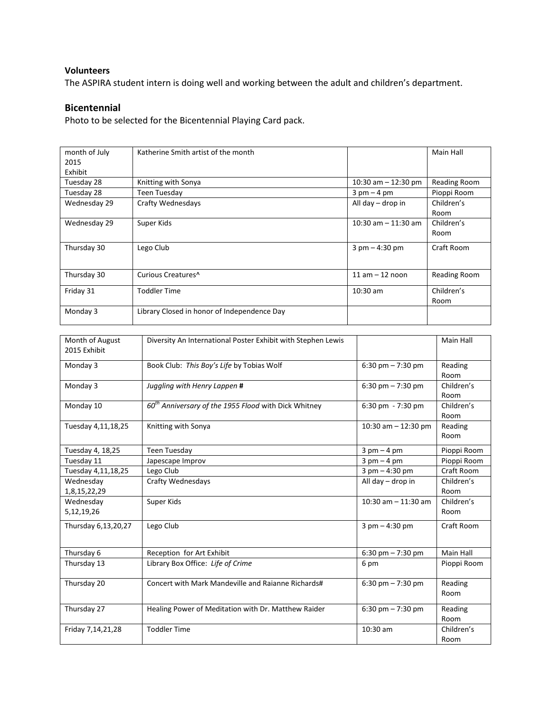#### **Volunteers**

The ASPIRA student intern is doing well and working between the adult and children's department.

#### **Bicentennial**

Photo to be selected for the Bicentennial Playing Card pack.

| month of July<br>2015 | Katherine Smith artist of the month         |                                  | Main Hall    |
|-----------------------|---------------------------------------------|----------------------------------|--------------|
| Exhibit               |                                             |                                  |              |
| Tuesday 28            | Knitting with Sonya                         | 10:30 am $-$ 12:30 pm            | Reading Room |
| Tuesday 28            | Teen Tuesday                                | $3 \text{ pm} - 4 \text{ pm}$    | Pioppi Room  |
| Wednesday 29          | Crafty Wednesdays                           | All day $-$ drop in              | Children's   |
|                       |                                             |                                  | Room         |
| Wednesday 29          | Super Kids                                  | $10:30$ am $-11:30$ am           | Children's   |
|                       |                                             |                                  | Room         |
| Thursday 30           | Lego Club                                   | $3 \text{ pm} - 4:30 \text{ pm}$ | Craft Room   |
|                       |                                             |                                  |              |
| Thursday 30           | Curious Creatures <sup>^</sup>              | $11$ am $-12$ noon               | Reading Room |
| Friday 31             | Toddler Time                                | $10:30$ am                       | Children's   |
|                       |                                             |                                  | Room         |
| Monday 3              | Library Closed in honor of Independence Day |                                  |              |

| Month of August<br>2015 Exhibit | Diversity An International Poster Exhibit with Stephen Lewis     |                                  | Main Hall          |
|---------------------------------|------------------------------------------------------------------|----------------------------------|--------------------|
| Monday 3                        | Book Club: This Boy's Life by Tobias Wolf                        | 6:30 pm $- 7:30$ pm              | Reading<br>Room    |
| Monday 3                        | Juggling with Henry Lappen #                                     | 6:30 pm $- 7:30$ pm              | Children's<br>Room |
| Monday 10                       | 60 <sup>th</sup> Anniversary of the 1955 Flood with Dick Whitney | $6:30$ pm $-7:30$ pm             | Children's<br>Room |
| Tuesday 4,11,18,25              | Knitting with Sonya                                              | 10:30 am $-$ 12:30 pm            | Reading<br>Room    |
| Tuesday 4, 18,25                | <b>Teen Tuesday</b>                                              | $3$ pm $-4$ pm                   | Pioppi Room        |
| Tuesday 11                      | Japescape Improv                                                 | $3$ pm $-4$ pm                   | Pioppi Room        |
| Tuesday 4,11,18,25              | Lego Club                                                        | $3$ pm $-$ 4:30 pm               | Craft Room         |
| Wednesday                       | Crafty Wednesdays                                                | All day $-$ drop in              | Children's         |
| 1,8,15,22,29                    |                                                                  |                                  | Room               |
| Wednesday<br>5,12,19,26         | Super Kids                                                       | $10:30$ am $- 11:30$ am          | Children's<br>Room |
| Thursday 6,13,20,27             | Lego Club                                                        | $3 \text{ pm} - 4:30 \text{ pm}$ | Craft Room         |
| Thursday 6                      | Reception for Art Exhibit                                        | 6:30 pm $- 7:30$ pm              | Main Hall          |
| Thursday 13                     | Library Box Office: Life of Crime                                | 6 pm                             | Pioppi Room        |
| Thursday 20                     | Concert with Mark Mandeville and Raianne Richards#               | 6:30 pm $- 7:30$ pm              | Reading<br>Room    |
| Thursday 27                     | Healing Power of Meditation with Dr. Matthew Raider              | $6:30$ pm $-7:30$ pm             | Reading<br>Room    |
| Friday 7,14,21,28               | <b>Toddler Time</b>                                              | 10:30 am                         | Children's<br>Room |